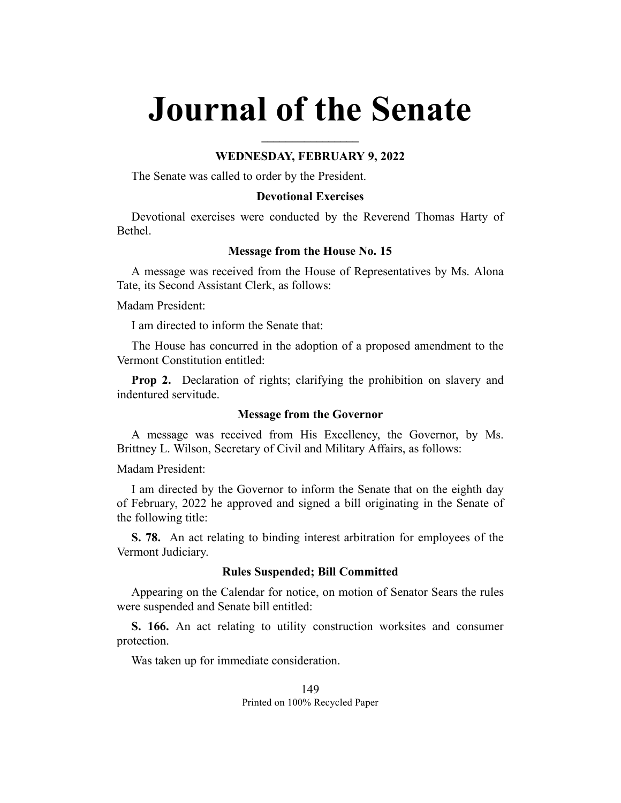# **Journal of the Senate**

## **WEDNESDAY, FEBRUARY 9, 2022**

**\_\_\_\_\_\_\_\_\_\_\_\_\_\_\_\_**

The Senate was called to order by the President.

## **Devotional Exercises**

Devotional exercises were conducted by the Reverend Thomas Harty of Bethel.

## **Message from the House No. 15**

A message was received from the House of Representatives by Ms. Alona Tate, its Second Assistant Clerk, as follows:

Madam President:

I am directed to inform the Senate that:

The House has concurred in the adoption of a proposed amendment to the Vermont Constitution entitled:

**Prop 2.** Declaration of rights; clarifying the prohibition on slavery and indentured servitude.

## **Message from the Governor**

A message was received from His Excellency, the Governor, by Ms. Brittney L. Wilson, Secretary of Civil and Military Affairs, as follows:

Madam President:

I am directed by the Governor to inform the Senate that on the eighth day of February, 2022 he approved and signed a bill originating in the Senate of the following title:

**S. 78.** An act relating to binding interest arbitration for employees of the Vermont Judiciary.

### **Rules Suspended; Bill Committed**

Appearing on the Calendar for notice, on motion of Senator Sears the rules were suspended and Senate bill entitled:

**S. 166.** An act relating to utility construction worksites and consumer protection.

Was taken up for immediate consideration.

149 Printed on 100% Recycled Paper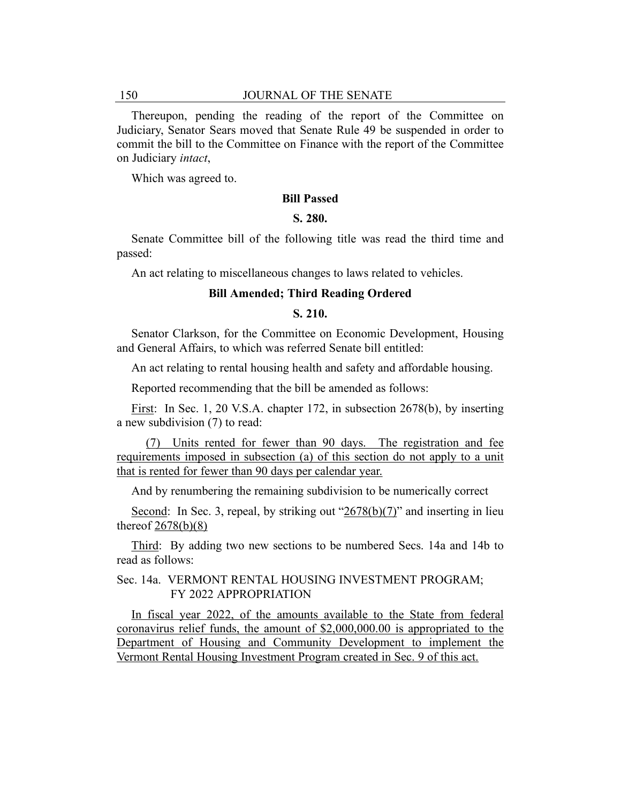Thereupon, pending the reading of the report of the Committee on Judiciary, Senator Sears moved that Senate Rule 49 be suspended in order to commit the bill to the Committee on Finance with the report of the Committee on Judiciary *intact*,

Which was agreed to.

#### **Bill Passed**

### **S. 280.**

Senate Committee bill of the following title was read the third time and passed:

An act relating to miscellaneous changes to laws related to vehicles.

### **Bill Amended; Third Reading Ordered**

## **S. 210.**

Senator Clarkson, for the Committee on Economic Development, Housing and General Affairs, to which was referred Senate bill entitled:

An act relating to rental housing health and safety and affordable housing.

Reported recommending that the bill be amended as follows:

First: In Sec. 1, 20 V.S.A. chapter 172, in subsection 2678(b), by inserting a new subdivision (7) to read:

(7) Units rented for fewer than 90 days. The registration and fee requirements imposed in subsection (a) of this section do not apply to a unit that is rented for fewer than 90 days per calendar year.

And by renumbering the remaining subdivision to be numerically correct

Second: In Sec. 3, repeal, by striking out " $2678(b)(7)$ " and inserting in lieu thereof  $2678(b)(8)$ 

Third: By adding two new sections to be numbered Secs. 14a and 14b to read as follows:

# Sec. 14a. VERMONT RENTAL HOUSING INVESTMENT PROGRAM; FY 2022 APPROPRIATION

In fiscal year 2022, of the amounts available to the State from federal coronavirus relief funds, the amount of \$2,000,000.00 is appropriated to the Department of Housing and Community Development to implement the Vermont Rental Housing Investment Program created in Sec. 9 of this act.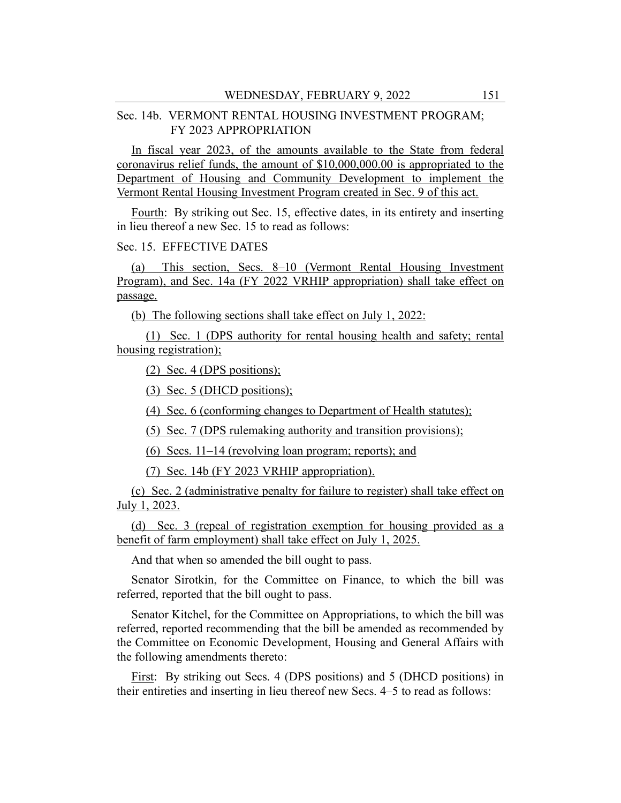# Sec. 14b. VERMONT RENTAL HOUSING INVESTMENT PROGRAM; FY 2023 APPROPRIATION

In fiscal year 2023, of the amounts available to the State from federal coronavirus relief funds, the amount of \$10,000,000.00 is appropriated to the Department of Housing and Community Development to implement the Vermont Rental Housing Investment Program created in Sec. 9 of this act.

Fourth: By striking out Sec. 15, effective dates, in its entirety and inserting in lieu thereof a new Sec. 15 to read as follows:

# Sec. 15. EFFECTIVE DATES

(a) This section, Secs. 8–10 (Vermont Rental Housing Investment Program), and Sec. 14a (FY 2022 VRHIP appropriation) shall take effect on passage.

(b) The following sections shall take effect on July 1, 2022:

(1) Sec. 1 (DPS authority for rental housing health and safety; rental housing registration);

(2) Sec. 4 (DPS positions);

(3) Sec. 5 (DHCD positions);

(4) Sec. 6 (conforming changes to Department of Health statutes);

(5) Sec. 7 (DPS rulemaking authority and transition provisions);

(6) Secs. 11–14 (revolving loan program; reports); and

(7) Sec. 14b (FY 2023 VRHIP appropriation).

(c) Sec. 2 (administrative penalty for failure to register) shall take effect on July 1, 2023.

(d) Sec. 3 (repeal of registration exemption for housing provided as a benefit of farm employment) shall take effect on July 1, 2025.

And that when so amended the bill ought to pass.

Senator Sirotkin, for the Committee on Finance, to which the bill was referred, reported that the bill ought to pass.

Senator Kitchel, for the Committee on Appropriations, to which the bill was referred, reported recommending that the bill be amended as recommended by the Committee on Economic Development, Housing and General Affairs with the following amendments thereto:

First: By striking out Secs. 4 (DPS positions) and 5 (DHCD positions) in their entireties and inserting in lieu thereof new Secs. 4–5 to read as follows: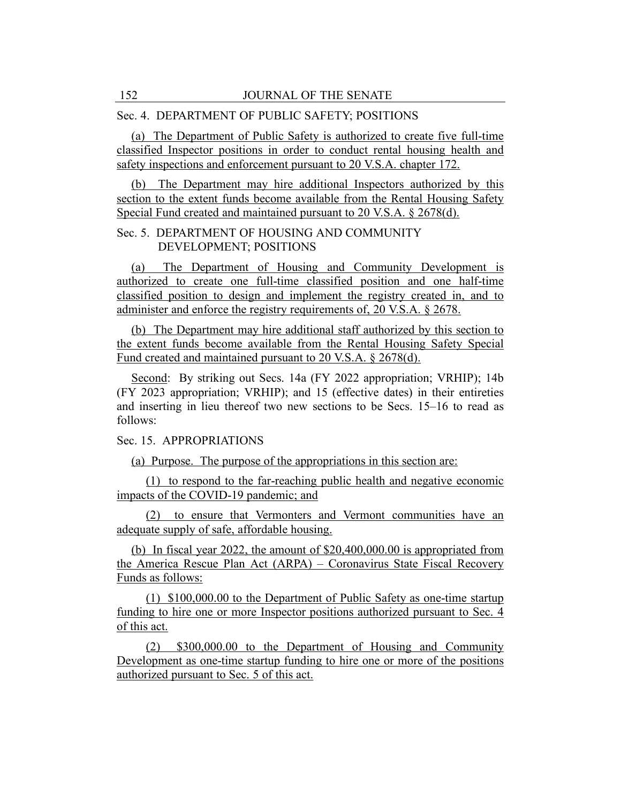## Sec. 4. DEPARTMENT OF PUBLIC SAFETY; POSITIONS

(a) The Department of Public Safety is authorized to create five full-time classified Inspector positions in order to conduct rental housing health and safety inspections and enforcement pursuant to 20 V.S.A. chapter 172.

(b) The Department may hire additional Inspectors authorized by this section to the extent funds become available from the Rental Housing Safety Special Fund created and maintained pursuant to 20 V.S.A. § 2678(d).

# Sec. 5. DEPARTMENT OF HOUSING AND COMMUNITY DEVELOPMENT; POSITIONS

(a) The Department of Housing and Community Development is authorized to create one full-time classified position and one half-time classified position to design and implement the registry created in, and to administer and enforce the registry requirements of, 20 V.S.A. § 2678.

(b) The Department may hire additional staff authorized by this section to the extent funds become available from the Rental Housing Safety Special Fund created and maintained pursuant to 20 V.S.A. § 2678(d).

Second: By striking out Secs. 14a (FY 2022 appropriation; VRHIP); 14b (FY 2023 appropriation; VRHIP); and 15 (effective dates) in their entireties and inserting in lieu thereof two new sections to be Secs. 15–16 to read as follows:

# Sec. 15. APPROPRIATIONS

(a) Purpose. The purpose of the appropriations in this section are:

(1) to respond to the far-reaching public health and negative economic impacts of the COVID-19 pandemic; and

(2) to ensure that Vermonters and Vermont communities have an adequate supply of safe, affordable housing.

(b) In fiscal year 2022, the amount of \$20,400,000.00 is appropriated from the America Rescue Plan Act (ARPA) – Coronavirus State Fiscal Recovery Funds as follows:

(1) \$100,000.00 to the Department of Public Safety as one-time startup funding to hire one or more Inspector positions authorized pursuant to Sec. 4 of this act.

(2) \$300,000.00 to the Department of Housing and Community Development as one-time startup funding to hire one or more of the positions authorized pursuant to Sec. 5 of this act.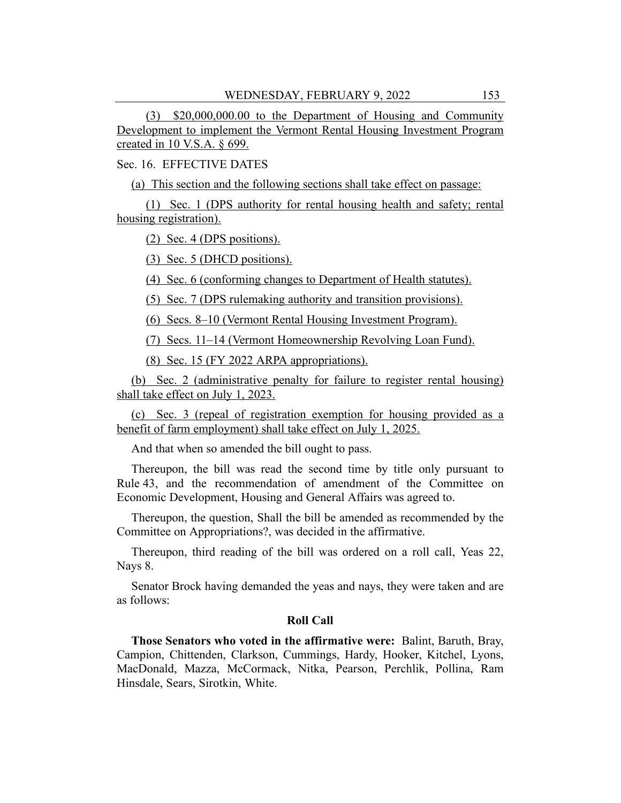(3) \$20,000,000.00 to the Department of Housing and Community Development to implement the Vermont Rental Housing Investment Program created in 10 V.S.A. § 699.

Sec. 16. EFFECTIVE DATES

(a) This section and the following sections shall take effect on passage:

(1) Sec. 1 (DPS authority for rental housing health and safety; rental housing registration).

(2) Sec. 4 (DPS positions).

(3) Sec. 5 (DHCD positions).

(4) Sec. 6 (conforming changes to Department of Health statutes).

(5) Sec. 7 (DPS rulemaking authority and transition provisions).

(6) Secs. 8–10 (Vermont Rental Housing Investment Program).

(7) Secs. 11–14 (Vermont Homeownership Revolving Loan Fund).

(8) Sec. 15 (FY 2022 ARPA appropriations).

(b) Sec. 2 (administrative penalty for failure to register rental housing) shall take effect on July 1, 2023.

(c) Sec. 3 (repeal of registration exemption for housing provided as a benefit of farm employment) shall take effect on July 1, 2025.

And that when so amended the bill ought to pass.

Thereupon, the bill was read the second time by title only pursuant to Rule 43, and the recommendation of amendment of the Committee on Economic Development, Housing and General Affairs was agreed to.

Thereupon, the question, Shall the bill be amended as recommended by the Committee on Appropriations?, was decided in the affirmative.

Thereupon, third reading of the bill was ordered on a roll call, Yeas 22, Nays 8.

Senator Brock having demanded the yeas and nays, they were taken and are as follows:

## **Roll Call**

**Those Senators who voted in the affirmative were:** Balint, Baruth, Bray, Campion, Chittenden, Clarkson, Cummings, Hardy, Hooker, Kitchel, Lyons, MacDonald, Mazza, McCormack, Nitka, Pearson, Perchlik, Pollina, Ram Hinsdale, Sears, Sirotkin, White.